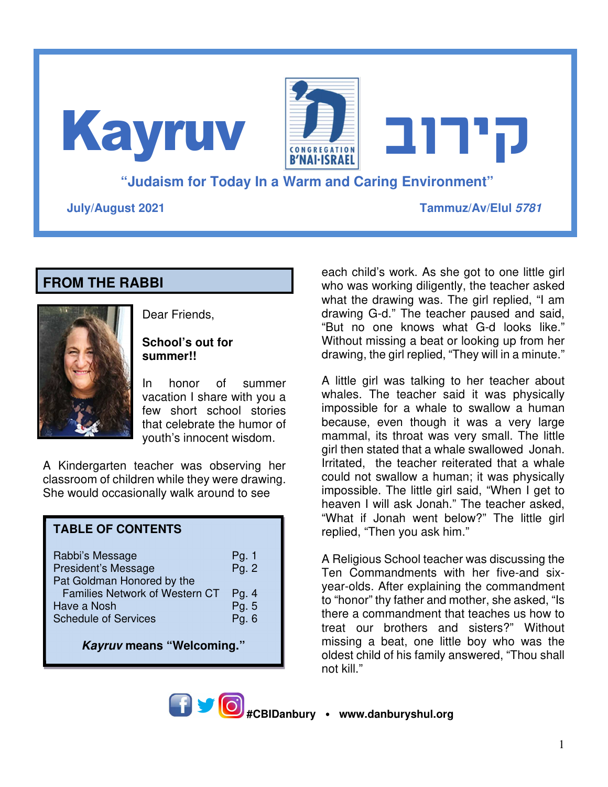**"Judaism for Today In a Warm and Caring Environment" July/August 2021 Tammuz/Av/Elul 5781 קירוב** Kayruv

# **FROM THE RABBI**



Dear Friends,

### **School's out for summer!!**

In honor of summer vacation I share with you a few short school stories that celebrate the humor of youth's innocent wisdom.

A Kindergarten teacher was observing her classroom of children while they were drawing. She would occasionally walk around to see

# **TABLE OF CONTENTS**

| Rabbi's Message<br>President's Message<br>Pat Goldman Honored by the | Pg. 1<br>Pg. 2   |
|----------------------------------------------------------------------|------------------|
| Families Network of Western CT<br>Have a Nosh                        | Pg. $4$<br>Pg. 5 |
| <b>Schedule of Services</b>                                          | Pg. 6            |

**Kayruv means "Welcoming."** 

each child's work. As she got to one little girl who was working diligently, the teacher asked what the drawing was. The girl replied, "I am drawing G-d." The teacher paused and said, "But no one knows what G-d looks like." Without missing a beat or looking up from her drawing, the girl replied, "They will in a minute."

A little girl was talking to her teacher about whales. The teacher said it was physically impossible for a whale to swallow a human because, even though it was a very large mammal, its throat was very small. The little girl then stated that a whale swallowed Jonah. Irritated, the teacher reiterated that a whale could not swallow a human; it was physically impossible. The little girl said, "When I get to heaven I will ask Jonah." The teacher asked, "What if Jonah went below?" The little girl replied, "Then you ask him."

A Religious School teacher was discussing the Ten Commandments with her five-and sixyear-olds. After explaining the commandment to "honor" thy father and mother, she asked, "Is there a commandment that teaches us how to treat our brothers and sisters?" Without missing a beat, one little boy who was the oldest child of his family answered, "Thou shall not kill."

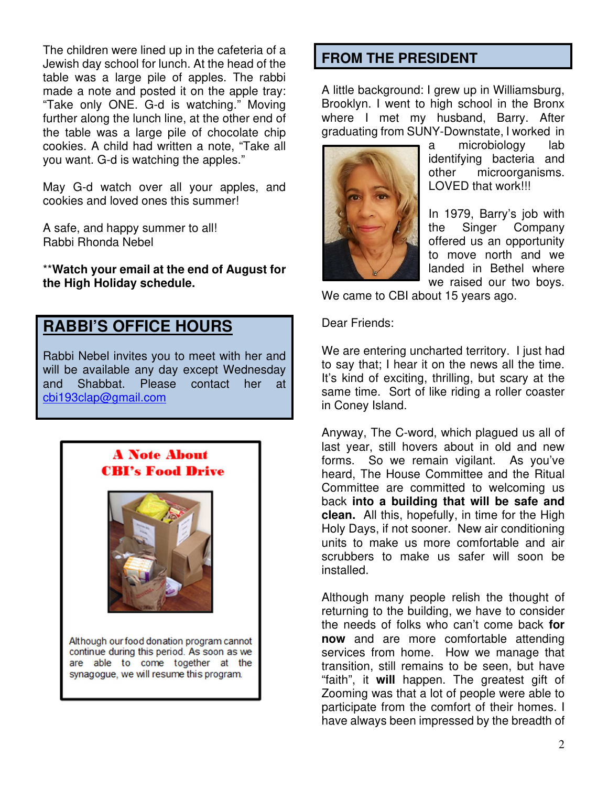The children were lined up in the cafeteria of a Jewish day school for lunch. At the head of the table was a large pile of apples. The rabbi made a note and posted it on the apple tray: "Take only ONE. G-d is watching." Moving further along the lunch line, at the other end of the table was a large pile of chocolate chip cookies. A child had written a note, "Take all you want. G-d is watching the apples."

May G-d watch over all your apples, and cookies and loved ones this summer!

A safe, and happy summer to all! Rabbi Rhonda Nebel

\*\***Watch your email at the end of August for the High Holiday schedule.**

# **RABBI'S OFFICE HOURS**

Rabbi Nebel invites you to meet with her and will be available any day except Wednesday and Shabbat. Please contact her at cbi193clap@gmail.com



### **FROM THE PRESIDENT**

A little background: I grew up in Williamsburg, Brooklyn. I went to high school in the Bronx where I met my husband, Barry. After graduating from SUNY-Downstate, I worked in



a microbiology lab identifying bacteria and other microorganisms. LOVED that work!!!

In 1979, Barry's job with the Singer Company offered us an opportunity to move north and we landed in Bethel where we raised our two boys.

We came to CBI about 15 years ago.

Dear Friends:

We are entering uncharted territory. I just had to say that; I hear it on the news all the time. It's kind of exciting, thrilling, but scary at the same time. Sort of like riding a roller coaster in Coney Island.

Anyway, The C-word, which plagued us all of last year, still hovers about in old and new forms. So we remain vigilant. As you've heard, The House Committee and the Ritual Committee are committed to welcoming us back **into a building that will be safe and clean.** All this, hopefully, in time for the High Holy Days, if not sooner. New air conditioning units to make us more comfortable and air scrubbers to make us safer will soon be installed.

Although many people relish the thought of returning to the building, we have to consider the needs of folks who can't come back **for now** and are more comfortable attending services from home. How we manage that transition, still remains to be seen, but have "faith", it **will** happen. The greatest gift of Zooming was that a lot of people were able to participate from the comfort of their homes. I have always been impressed by the breadth of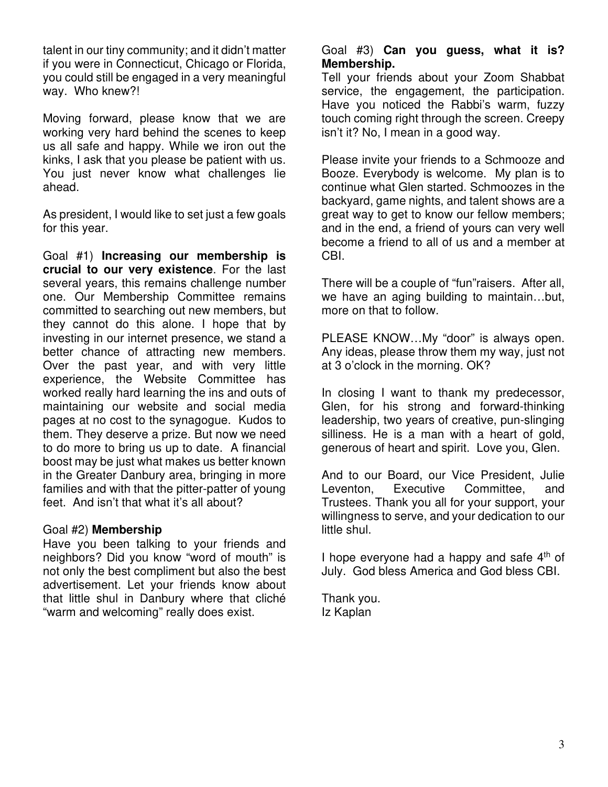talent in our tiny community; and it didn't matter if you were in Connecticut, Chicago or Florida, you could still be engaged in a very meaningful way. Who knew?!

Moving forward, please know that we are working very hard behind the scenes to keep us all safe and happy. While we iron out the kinks, I ask that you please be patient with us. You just never know what challenges lie ahead.

As president, I would like to set just a few goals for this year.

Goal #1) **Increasing our membership is crucial to our very existence**. For the last several years, this remains challenge number one. Our Membership Committee remains committed to searching out new members, but they cannot do this alone. I hope that by investing in our internet presence, we stand a better chance of attracting new members. Over the past year, and with very little experience, the Website Committee has worked really hard learning the ins and outs of maintaining our website and social media pages at no cost to the synagogue. Kudos to them. They deserve a prize. But now we need to do more to bring us up to date. A financial boost may be just what makes us better known in the Greater Danbury area, bringing in more families and with that the pitter-patter of young feet. And isn't that what it's all about?

### Goal #2) **Membership**

Have you been talking to your friends and neighbors? Did you know "word of mouth" is not only the best compliment but also the best advertisement. Let your friends know about that little shul in Danbury where that cliché "warm and welcoming" really does exist.

#### Goal #3) **Can you guess, what it is? Membership.**

Tell your friends about your Zoom Shabbat service, the engagement, the participation. Have you noticed the Rabbi's warm, fuzzy touch coming right through the screen. Creepy isn't it? No, I mean in a good way.

Please invite your friends to a Schmooze and Booze. Everybody is welcome. My plan is to continue what Glen started. Schmoozes in the backyard, game nights, and talent shows are a great way to get to know our fellow members; and in the end, a friend of yours can very well become a friend to all of us and a member at CBI.

There will be a couple of "fun"raisers. After all, we have an aging building to maintain…but, more on that to follow.

PLEASE KNOW…My "door" is always open. Any ideas, please throw them my way, just not at 3 o'clock in the morning. OK?

In closing I want to thank my predecessor, Glen, for his strong and forward-thinking leadership, two years of creative, pun-slinging silliness. He is a man with a heart of gold, generous of heart and spirit. Love you, Glen.

And to our Board, our Vice President, Julie Leventon, Executive Committee, and Trustees. Thank you all for your support, your willingness to serve, and your dedication to our little shul.

I hope everyone had a happy and safe  $4<sup>th</sup>$  of July. God bless America and God bless CBI.

Thank you. Iz Kaplan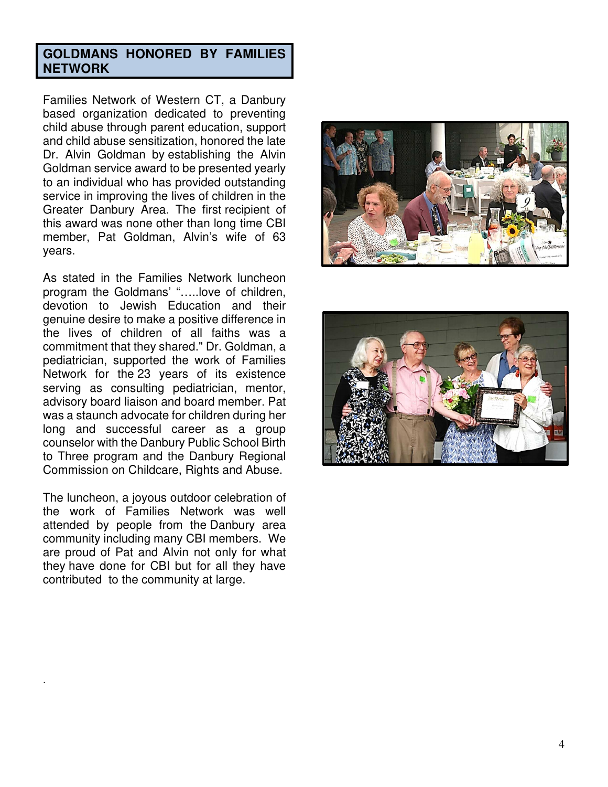### **GOLDMANS HONORED BY FAMILIES NETWORK**

Families Network of Western CT, a Danbury based organization dedicated to preventing child abuse through parent education, support and child abuse sensitization, honored the late Dr. Alvin Goldman by establishing the Alvin Goldman service award to be presented yearly to an individual who has provided outstanding service in improving the lives of children in the Greater Danbury Area. The first recipient of this award was none other than long time CBI member, Pat Goldman, Alvin's wife of 63 years.

As stated in the Families Network luncheon program the Goldmans' "…..love of children, devotion to Jewish Education and their genuine desire to make a positive difference in the lives of children of all faiths was a commitment that they shared." Dr. Goldman, a pediatrician, supported the work of Families Network for the 23 years of its existence serving as consulting pediatrician, mentor, advisory board liaison and board member. Pat was a staunch advocate for children during her long and successful career as a group counselor with the Danbury Public School Birth to Three program and the Danbury Regional Commission on Childcare, Rights and Abuse.

The luncheon, a joyous outdoor celebration of the work of Families Network was well attended by people from the Danbury area community including many CBI members. We are proud of Pat and Alvin not only for what they have done for CBI but for all they have contributed to the community at large.

.



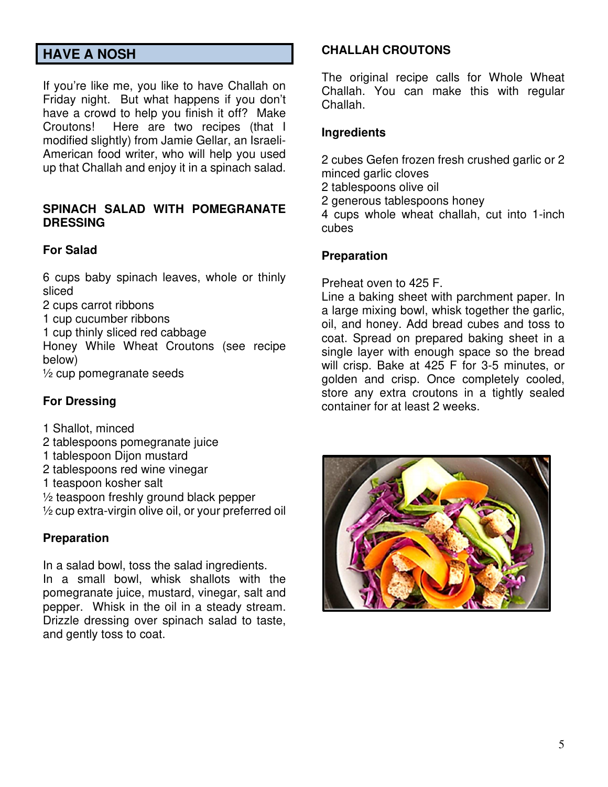# **HAVE A NOSH**

If you're like me, you like to have Challah on Friday night. But what happens if you don't have a crowd to help you finish it off? Make Croutons! Here are two recipes (that I modified slightly) from Jamie Gellar, an Israeli-American food writer, who will help you used up that Challah and enjoy it in a spinach salad.

#### **SPINACH SALAD WITH POMEGRANATE DRESSING**

### **For Salad**

6 cups baby spinach leaves, whole or thinly sliced

2 cups carrot ribbons

1 cup cucumber ribbons

1 cup thinly sliced red cabbage

Honey While Wheat Croutons (see recipe below)

 $\frac{1}{2}$  cup pomegranate seeds

### **For Dressing**

1 Shallot, minced

- 2 tablespoons pomegranate juice
- 1 tablespoon Dijon mustard
- 2 tablespoons red wine vinegar
- 1 teaspoon kosher salt
- ½ teaspoon freshly ground black pepper

½ cup extra-virgin olive oil, or your preferred oil

#### **Preparation**

In a salad bowl, toss the salad ingredients. In a small bowl, whisk shallots with the pomegranate juice, mustard, vinegar, salt and pepper. Whisk in the oil in a steady stream. Drizzle dressing over spinach salad to taste, and gently toss to coat.

#### **CHALLAH CROUTONS**

The original recipe calls for Whole Wheat Challah. You can make this with regular Challah.

#### **Ingredients**

2 cubes Gefen frozen fresh crushed garlic or 2 minced garlic cloves

- 2 tablespoons olive oil
- 2 generous tablespoons honey

4 cups whole wheat challah, cut into 1-inch cubes

#### **Preparation**

Preheat oven to 425 F.

Line a baking sheet with parchment paper. In a large mixing bowl, whisk together the garlic, oil, and honey. Add bread cubes and toss to coat. Spread on prepared baking sheet in a single layer with enough space so the bread will crisp. Bake at 425 F for 3-5 minutes, or golden and crisp. Once completely cooled, store any extra croutons in a tightly sealed container for at least 2 weeks.